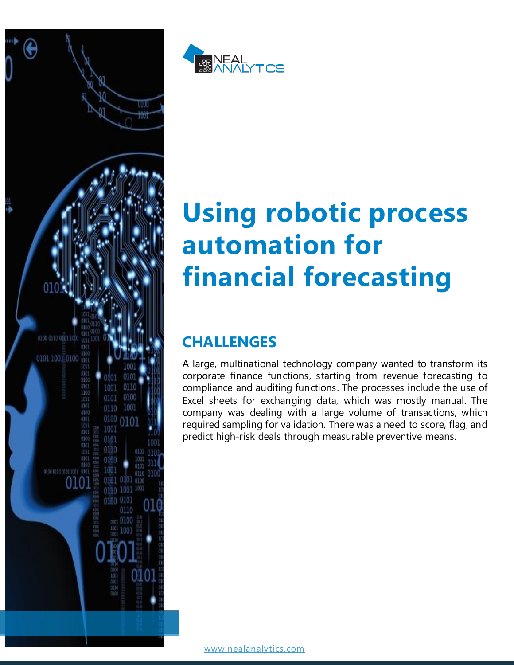



## **Using robotic process automation for financial forecasting**

## **CHALLENGES**

A large, multinational technology company wanted to transform its corporate finance functions, starting from revenue forecasting to compliance and auditing functions. The processes include the use of Excel sheets for exchanging data, which was mostly manual. The company was dealing with a large volume of transactions, which required sampling for validation. There was a need to score, flag, and predict high-risk deals through measurable preventive means.